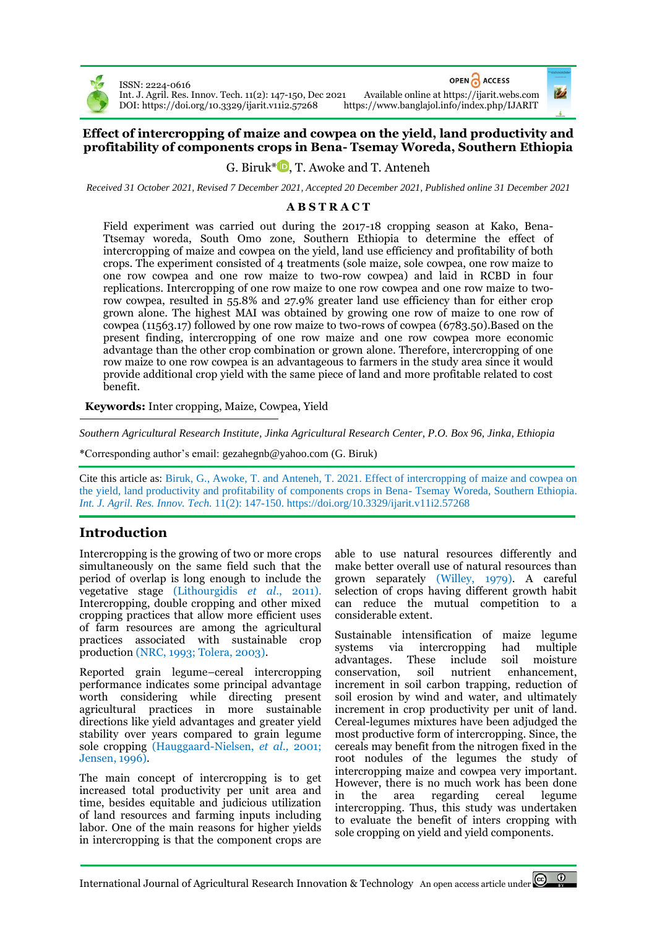

ISSN: 2224-0616 DOI[: https://doi.org/10.3329/ijarit.v11i2.57268](https://doi.org/10.3329/ijarit.v11i2.57268) OPEN ACCESS

Int. J. Agril. Res. Innov. Tech. 11(2): 147-150, Dec 2021 Available online at [https://ijarit.webs.com](http://ijarit.webs.com/)

# **Effect of intercropping of maize and cowpea on the yield, land productivity and profitability of components crops in Bena- Tsemay Woreda, Southern Ethiopia**

G. Biruk[\\*](https://orcid.org/0000-0003-0184-0581) $\bigcirc$ , T. Awoke and T. Anteneh

*Received 31 October 2021, Revised 7 December 2021, Accepted 20 December 2021, Published online 31 December 2021*

## **A B S T R A C T**

Field experiment was carried out during the 2017-18 cropping season at Kako, Bena-Ttsemay woreda, South Omo zone, Southern Ethiopia to determine the effect of intercropping of maize and cowpea on the yield, land use efficiency and profitability of both crops. The experiment consisted of 4 treatments (sole maize, sole cowpea, one row maize to one row cowpea and one row maize to two-row cowpea) and laid in RCBD in four replications. Intercropping of one row maize to one row cowpea and one row maize to tworow cowpea, resulted in 55.8% and 27.9% greater land use efficiency than for either crop grown alone. The highest MAI was obtained by growing one row of maize to one row of cowpea (11563.17) followed by one row maize to two-rows of cowpea (6783.50).Based on the present finding, intercropping of one row maize and one row cowpea more economic advantage than the other crop combination or grown alone. Therefore, intercropping of one row maize to one row cowpea is an advantageous to farmers in the study area since it would provide additional crop yield with the same piece of land and more profitable related to cost benefit.

**Keywords:** Inter cropping, Maize, Cowpea, Yield

*Southern Agricultural Research Institute, Jinka Agricultural Research Center, P.O. Box 96, Jinka, Ethiopia*

\*Corresponding author's email[: gezahegnb@yahoo.com](mailto:gezahegnb@yahoo.com) (G. Biruk)

Cite this article as: Biruk, G., Awoke, T. and Anteneh, T. 2021. Effect of intercropping of maize and cowpea on the yield, land productivity and profitability of components crops in Bena- Tsemay Woreda, Southern Ethiopia. *Int. J. Agril. Res. Innov. Tech.* 11(2): 147-150. <https://doi.org/10.3329/ijarit.v11i2.57268>

# **Introduction**

Intercropping is the growing of two or more crops simultaneously on the same field such that the period of overlap is long enough to include the vegetative stage (Lithourgidis *et al*., 2011). Intercropping, double cropping and other mixed cropping practices that allow more efficient uses of farm resources are among the agricultural practices associated with sustainable crop production (NRC, 1993; Tolera, 2003).

Reported grain legume–cereal intercropping performance indicates some principal advantage worth considering while directing present agricultural practices in more sustainable directions like yield advantages and greater yield stability over years compared to grain legume sole cropping (Hauggaard-Nielsen, *et al.,* 2001; Jensen, 1996).

The main concept of intercropping is to get increased total productivity per unit area and time, besides equitable and judicious utilization of land resources and farming inputs including labor. One of the main reasons for higher yields in intercropping is that the component crops are

able to use natural resources differently and make better overall use of natural resources than grown separately (Willey, 1979). A careful selection of crops having different growth habit can reduce the mutual competition to a considerable extent.

Sustainable intensification of maize legume systems via intercropping had multiple advantages. These include soil moisture conservation, soil nutrient enhancement, increment in soil carbon trapping, reduction of soil erosion by wind and water, and ultimately increment in crop productivity per unit of land. Cereal-legumes mixtures have been adjudged the most productive form of intercropping. Since, the cereals may benefit from the nitrogen fixed in the root nodules of the legumes the study of intercropping maize and cowpea very important. However, there is no much work has been done in the area regarding cereal legume intercropping. Thus, this study was undertaken to evaluate the benefit of inters cropping with sole cropping on yield and yield components.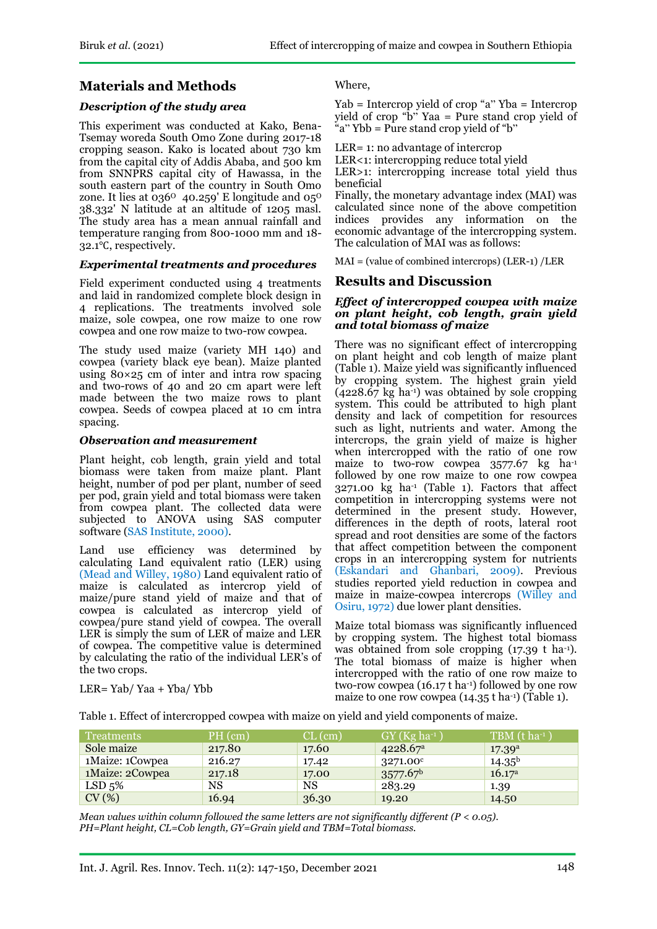# **Materials and Methods**

## *Description of the study area*

This experiment was conducted at Kako, Bena-Tsemay woreda South Omo Zone during 2017-18 cropping season. Kako is located about 730 km from the capital city of Addis Ababa, and 500 km from SNNPRS capital city of Hawassa, in the south eastern part of the country in South Omo zone. It lies at  $036^{\circ}$  40.259' E longitude and  $05^{\circ}$ 38.332' N latitude at an altitude of 1205 masl. The study area has a mean annual rainfall and temperature ranging from 800-1000 mm and 18- 32.1℃, respectively.

### *Experimental treatments and procedures*

Field experiment conducted using 4 treatments and laid in randomized complete block design in 4 replications. The treatments involved sole maize, sole cowpea, one row maize to one row cowpea and one row maize to two-row cowpea.

The study used maize (variety MH 140) and cowpea (variety black eye bean). Maize planted using 80×25 cm of inter and intra row spacing and two-rows of 40 and 20 cm apart were left made between the two maize rows to plant cowpea. Seeds of cowpea placed at 10 cm intra spacing.

#### *Observation and measurement*

Plant height, cob length, grain yield and total biomass were taken from maize plant. Plant height, number of pod per plant, number of seed per pod, grain yield and total biomass were taken from cowpea plant. The collected data were subjected to ANOVA using SAS computer software (SAS Institute, 2000).

Land use efficiency was determined by calculating Land equivalent ratio (LER) using (Mead and Willey, 1980) Land equivalent ratio of maize is calculated as intercrop yield of maize/pure stand yield of maize and that of cowpea is calculated as intercrop yield of cowpea/pure stand yield of cowpea. The overall LER is simply the sum of LER of maize and LER of cowpea. The competitive value is determined by calculating the ratio of the individual LER's of the two crops.

#### Where,

Yab = Intercrop yield of crop "a" Yba = Intercrop yield of crop " $\overrightarrow{b}$ " Yaa = Pure stand crop yield of "a"  $Ybb = P$ ure stand crop yield of "b"

LER= 1: no advantage of intercrop

LER<1: intercropping reduce total yield

LER>1: intercropping increase total yield thus beneficial

Finally, the monetary advantage index (MAI) was calculated since none of the above competition indices provides any information on the economic advantage of the intercropping system. The calculation of MAI was as follows:

MAI = (value of combined intercrops) (LER-1) /LER

# **Results and Discussion**

#### *Effect of intercropped cowpea with maize on plant height, cob length, grain yield and total biomass of maize*

There was no significant effect of intercropping on plant height and cob length of maize plant (Table 1). Maize yield was significantly influenced by cropping system. The highest grain yield  $(4228.67 \text{ kg} \text{ ha}^{-1})$  was obtained by sole cropping system. This could be attributed to high plant density and lack of competition for resources such as light, nutrients and water. Among the intercrops, the grain yield of maize is higher when intercropped with the ratio of one row maize to two-row cowpea 3577.67 kg ha-1 followed by one row maize to one row cowpea  $3271.00 \text{ kg}$  ha<sup>-1</sup> (Table 1). Factors that affect competition in intercropping systems were not determined in the present study. However, differences in the depth of roots, lateral root spread and root densities are some of the factors that affect competition between the component crops in an intercropping system for nutrients (Eskandari and Ghanbari, 2009). Previous studies reported yield reduction in cowpea and maize in maize-cowpea intercrops (Willey and Osiru, 1972) due lower plant densities.

Maize total biomass was significantly influenced by cropping system. The highest total biomass was obtained from sole cropping (17.39 t ha<sup>-1</sup>). The total biomass of maize is higher when intercropped with the ratio of one row maize to two-row cowpea (16.17 t ha-1) followed by one row maize to one row cowpea  $(14.35 \text{ t} \text{ ha}^{-1})$  (Table 1).

LER= Yab/ Yaa + Yba/ Ybb

Table 1. Effect of intercropped cowpea with maize on yield and yield components of maize.

| Treatments         | $PH$ (cm) | $CL$ (cm) | $GY(Kg ha^{-1})$     | $TBM$ (t ha-1)     |
|--------------------|-----------|-----------|----------------------|--------------------|
| Sole maize         | 217.80    | 17.60     | 4228.67 <sup>a</sup> | 17.39 <sup>a</sup> |
| 1Maize: 1Cowpea    | 216.27    | 17.42     | $3271.00^c$          | $14.35^{b}$        |
| 1Maize: 2Cowpea    | 217.18    | 17.00     | $3577.67^b$          | 16.17 <sup>a</sup> |
| LSD <sub>5</sub> % | NS        | <b>NS</b> | 283.29               | 1.39               |
| CV(%)              | 16.94     | 36.30     | 19.20                | 14.50              |

*Mean values within column followed the same letters are not significantly different (P < 0.05). PH=Plant height, CL=Cob length, GY=Grain yield and TBM=Total biomass.*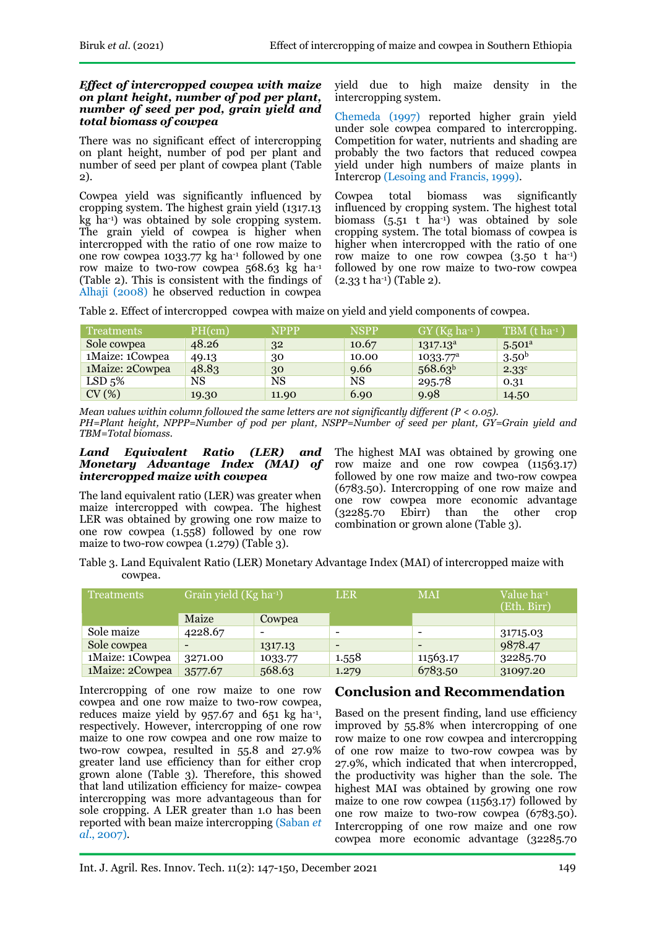#### *Effect of intercropped cowpea with maize on plant height, number of pod per plant, number of seed per pod, grain yield and total biomass of cowpea*

There was no significant effect of intercropping on plant height, number of pod per plant and number of seed per plant of cowpea plant (Table 2).

Cowpea yield was significantly influenced by cropping system. The highest grain yield (1317.13 kg ha-1) was obtained by sole cropping system. The grain yield of cowpea is higher when intercropped with the ratio of one row maize to one row cowpea 1033.77 kg ha-1 followed by one row maize to two-row cowpea 568.63 kg ha-1 (Table 2). This is consistent with the findings of Alhaji (2008) he observed reduction in cowpea

yield due to high maize density in the intercropping system.

Chemeda (1997) reported higher grain yield under sole cowpea compared to intercropping. Competition for water, nutrients and shading are probably the two factors that reduced cowpea yield under high numbers of maize plants in Intercrop (Lesoing and Francis, 1999).

Cowpea total biomass was significantly influenced by cropping system. The highest total biomass  $(5.51 \text{ t} \text{ ha}^{-1})$  was obtained by sole cropping system. The total biomass of cowpea is higher when intercropped with the ratio of one row maize to one row cowpea  $(3.50 \text{ t} \text{ ha}^{-1})$ followed by one row maize to two-row cowpea  $(2.33 \text{ t} \text{ ha}^{-1})$  (Table 2).

Table 2. Effect of intercropped cowpea with maize on yield and yield components of cowpea.

| Treatments         | PH(cm) | <b>NPPP</b> | <b>NSPP</b> | $GY(Kg ha^{-1})$     | $\overline{\text{TBM}}$ (t ha-1) |
|--------------------|--------|-------------|-------------|----------------------|----------------------------------|
| Sole cowpea        | 48.26  | 32          | 10.67       | $1317.13^a$          | 5.501 <sup>a</sup>               |
| 1Maize: 1Cowpea    | 49.13  | 30          | 10.00       | 1033.77 <sup>a</sup> | 3.50 <sup>b</sup>                |
| 1Maize: 2Cowpea    | 48.83  | 30          | 9.66        | 568.63 <sup>b</sup>  | $2.33^{\circ}$                   |
| LSD <sub>5</sub> % | NS     | NS          | NS          | 295.78               | 0.31                             |
| CV(%)              | 19.30  | 11.90       | 6.90        | 9.98                 | 14.50                            |

*Mean values within column followed the same letters are not significantly different (P < 0.05). PH=Plant height, NPPP=Number of pod per plant, NSPP=Number of seed per plant, GY=Grain yield and TBM=Total biomass.*

#### *Land Equivalent Ratio (LER) and Monetary Advantage Index (MAI) of intercropped maize with cowpea*

The land equivalent ratio (LER) was greater when maize intercropped with cowpea. The highest LER was obtained by growing one row maize to one row cowpea (1.558) followed by one row maize to two-row cowpea (1.279) (Table 3).

The highest MAI was obtained by growing one row maize and one row cowpea (11563.17) followed by one row maize and two-row cowpea (6783.50). Intercropping of one row maize and one row cowpea more economic advantage (32285.70 Ebirr) than the other crop combination or grown alone (Table 3).

Table 3. Land Equivalent Ratio (LER) Monetary Advantage Index (MAI) of intercropped maize with cowpea.

| <b>Treatments</b> | Grain yield (Kg ha-1) |         | <b>LER</b>                   | <b>MAI</b> | Value ha-1<br>(Eth. Birr) |
|-------------------|-----------------------|---------|------------------------------|------------|---------------------------|
|                   | Maize                 | Cowpea  |                              |            |                           |
| Sole maize        | 4228.67               |         | $\qquad \qquad \blacksquare$ |            | 31715.03                  |
| Sole cowpea       |                       | 1317.13 | $\overline{\phantom{a}}$     | $\sim$     | 9878.47                   |
| 1Maize: 1Cowpea   | 3271.00               | 1033.77 | 1.558                        | 11563.17   | 32285.70                  |
| 1Maize: 2Cowpea   | 3577.67               | 568.63  | 1.279                        | 6783.50    | 31097.20                  |

Intercropping of one row maize to one row cowpea and one row maize to two-row cowpea, reduces maize yield by  $957.67$  and  $651$  kg ha<sup>-1</sup>, respectively. However, intercropping of one row maize to one row cowpea and one row maize to two-row cowpea, resulted in 55.8 and 27.9% greater land use efficiency than for either crop grown alone (Table 3). Therefore, this showed that land utilization efficiency for maize- cowpea intercropping was more advantageous than for sole cropping. A LER greater than 1.0 has been reported with bean maize intercropping (Saban *et al*., 2007).

# **Conclusion and Recommendation**

Based on the present finding, land use efficiency improved by 55.8% when intercropping of one row maize to one row cowpea and intercropping of one row maize to two-row cowpea was by 27.9%, which indicated that when intercropped, the productivity was higher than the sole. The highest MAI was obtained by growing one row maize to one row cowpea (11563.17) followed by one row maize to two-row cowpea (6783.50). Intercropping of one row maize and one row cowpea more economic advantage (32285.70